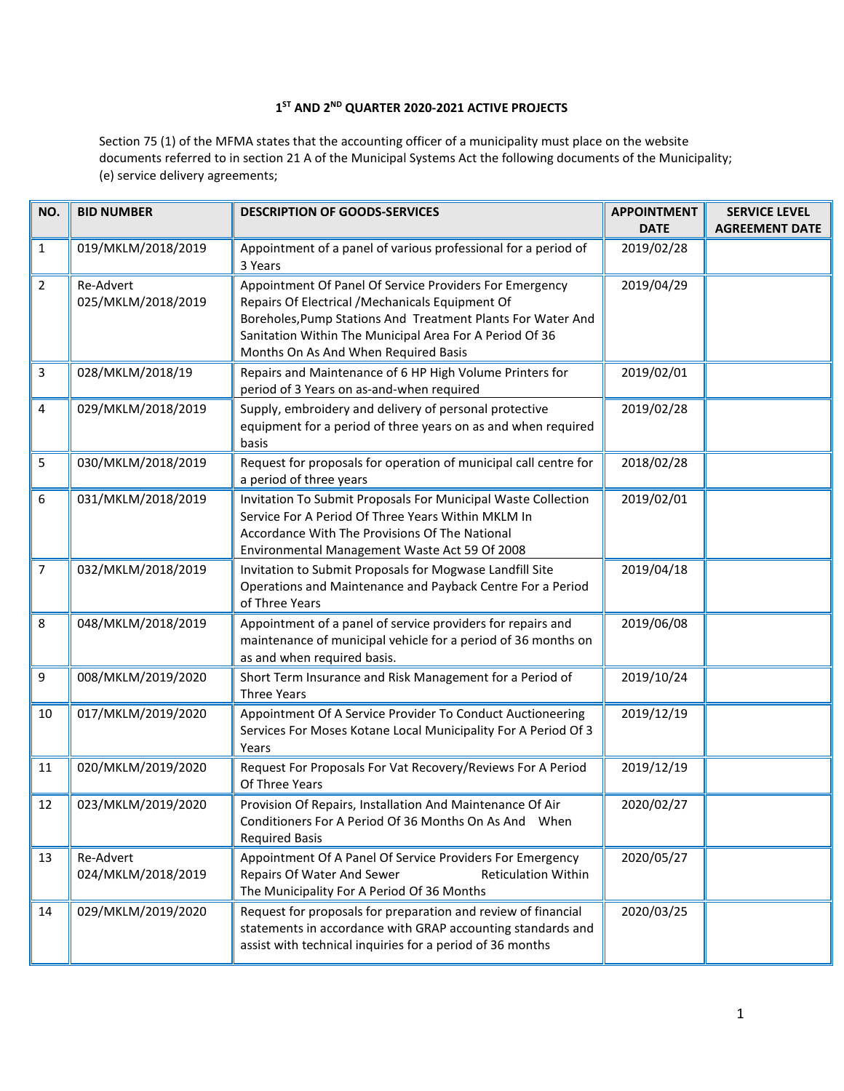## **1ST AND 2ND QUARTER 2020-2021 ACTIVE PROJECTS**

Section 75 (1) of the MFMA states that the accounting officer of a municipality must place on the website documents referred to in section 21 A of the Municipal Systems Act the following documents of the Municipality; (e) service delivery agreements;

| NO.            | <b>BID NUMBER</b>               | <b>DESCRIPTION OF GOODS-SERVICES</b>                                                                                                                                                                                                                                          | <b>APPOINTMENT</b><br><b>DATE</b> | <b>SERVICE LEVEL</b><br><b>AGREEMENT DATE</b> |
|----------------|---------------------------------|-------------------------------------------------------------------------------------------------------------------------------------------------------------------------------------------------------------------------------------------------------------------------------|-----------------------------------|-----------------------------------------------|
| 1              | 019/MKLM/2018/2019              | Appointment of a panel of various professional for a period of<br>3 Years                                                                                                                                                                                                     | 2019/02/28                        |                                               |
| $\overline{2}$ | Re-Advert<br>025/MKLM/2018/2019 | Appointment Of Panel Of Service Providers For Emergency<br>Repairs Of Electrical / Mechanicals Equipment Of<br>Boreholes, Pump Stations And Treatment Plants For Water And<br>Sanitation Within The Municipal Area For A Period Of 36<br>Months On As And When Required Basis | 2019/04/29                        |                                               |
| 3              | 028/MKLM/2018/19                | Repairs and Maintenance of 6 HP High Volume Printers for<br>period of 3 Years on as-and-when required                                                                                                                                                                         | 2019/02/01                        |                                               |
| 4              | 029/MKLM/2018/2019              | Supply, embroidery and delivery of personal protective<br>equipment for a period of three years on as and when required<br>basis                                                                                                                                              | 2019/02/28                        |                                               |
| 5              | 030/MKLM/2018/2019              | Request for proposals for operation of municipal call centre for<br>a period of three years                                                                                                                                                                                   | 2018/02/28                        |                                               |
| 6              | 031/MKLM/2018/2019              | Invitation To Submit Proposals For Municipal Waste Collection<br>Service For A Period Of Three Years Within MKLM In<br>Accordance With The Provisions Of The National<br>Environmental Management Waste Act 59 Of 2008                                                        | 2019/02/01                        |                                               |
| $\overline{7}$ | 032/MKLM/2018/2019              | Invitation to Submit Proposals for Mogwase Landfill Site<br>Operations and Maintenance and Payback Centre For a Period<br>of Three Years                                                                                                                                      | 2019/04/18                        |                                               |
| 8              | 048/MKLM/2018/2019              | Appointment of a panel of service providers for repairs and<br>maintenance of municipal vehicle for a period of 36 months on<br>as and when required basis.                                                                                                                   | 2019/06/08                        |                                               |
| 9              | 008/MKLM/2019/2020              | Short Term Insurance and Risk Management for a Period of<br><b>Three Years</b>                                                                                                                                                                                                | 2019/10/24                        |                                               |
| 10             | 017/MKLM/2019/2020              | Appointment Of A Service Provider To Conduct Auctioneering<br>Services For Moses Kotane Local Municipality For A Period Of 3<br>Years                                                                                                                                         | 2019/12/19                        |                                               |
| 11             | 020/MKLM/2019/2020              | Request For Proposals For Vat Recovery/Reviews For A Period<br>Of Three Years                                                                                                                                                                                                 | 2019/12/19                        |                                               |
| 12             | 023/MKLM/2019/2020              | Provision Of Repairs, Installation And Maintenance Of Air<br>Conditioners For A Period Of 36 Months On As And When<br><b>Required Basis</b>                                                                                                                                   | 2020/02/27                        |                                               |
| 13             | Re-Advert<br>024/MKLM/2018/2019 | Appointment Of A Panel Of Service Providers For Emergency<br>Repairs Of Water And Sewer<br><b>Reticulation Within</b><br>The Municipality For A Period Of 36 Months                                                                                                           | 2020/05/27                        |                                               |
| 14             | 029/MKLM/2019/2020              | Request for proposals for preparation and review of financial<br>statements in accordance with GRAP accounting standards and<br>assist with technical inquiries for a period of 36 months                                                                                     | 2020/03/25                        |                                               |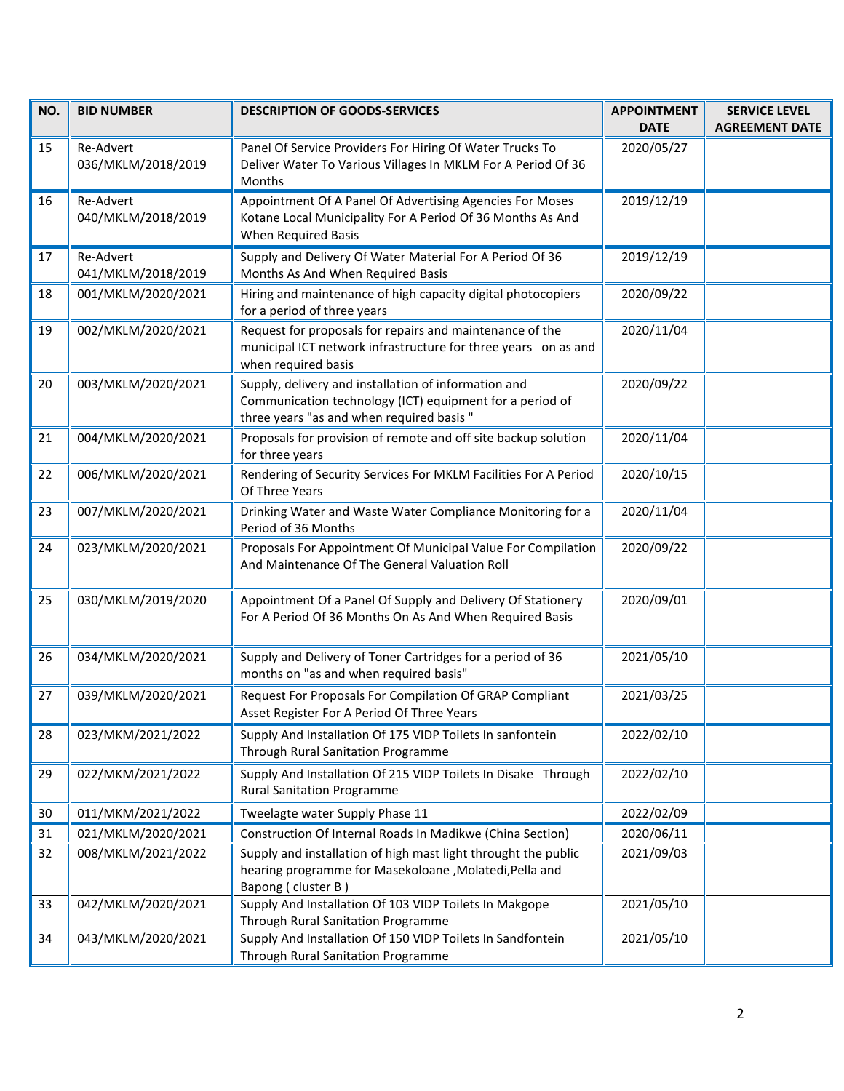| NO. | <b>BID NUMBER</b>               | <b>DESCRIPTION OF GOODS-SERVICES</b>                                                                                                                         | <b>APPOINTMENT</b><br><b>DATE</b> | <b>SERVICE LEVEL</b><br><b>AGREEMENT DATE</b> |
|-----|---------------------------------|--------------------------------------------------------------------------------------------------------------------------------------------------------------|-----------------------------------|-----------------------------------------------|
| 15  | Re-Advert<br>036/MKLM/2018/2019 | Panel Of Service Providers For Hiring Of Water Trucks To<br>Deliver Water To Various Villages In MKLM For A Period Of 36<br>Months                           | 2020/05/27                        |                                               |
| 16  | Re-Advert<br>040/MKLM/2018/2019 | Appointment Of A Panel Of Advertising Agencies For Moses<br>Kotane Local Municipality For A Period Of 36 Months As And<br>When Required Basis                | 2019/12/19                        |                                               |
| 17  | Re-Advert<br>041/MKLM/2018/2019 | Supply and Delivery Of Water Material For A Period Of 36<br>Months As And When Required Basis                                                                | 2019/12/19                        |                                               |
| 18  | 001/MKLM/2020/2021              | Hiring and maintenance of high capacity digital photocopiers<br>for a period of three years                                                                  | 2020/09/22                        |                                               |
| 19  | 002/MKLM/2020/2021              | Request for proposals for repairs and maintenance of the<br>municipal ICT network infrastructure for three years on as and<br>when required basis            | 2020/11/04                        |                                               |
| 20  | 003/MKLM/2020/2021              | Supply, delivery and installation of information and<br>Communication technology (ICT) equipment for a period of<br>three years "as and when required basis" | 2020/09/22                        |                                               |
| 21  | 004/MKLM/2020/2021              | Proposals for provision of remote and off site backup solution<br>for three years                                                                            | 2020/11/04                        |                                               |
| 22  | 006/MKLM/2020/2021              | Rendering of Security Services For MKLM Facilities For A Period<br>Of Three Years                                                                            | 2020/10/15                        |                                               |
| 23  | 007/MKLM/2020/2021              | Drinking Water and Waste Water Compliance Monitoring for a<br>Period of 36 Months                                                                            | 2020/11/04                        |                                               |
| 24  | 023/MKLM/2020/2021              | Proposals For Appointment Of Municipal Value For Compilation<br>And Maintenance Of The General Valuation Roll                                                | 2020/09/22                        |                                               |
| 25  | 030/MKLM/2019/2020              | Appointment Of a Panel Of Supply and Delivery Of Stationery<br>For A Period Of 36 Months On As And When Required Basis                                       | 2020/09/01                        |                                               |
| 26  | 034/MKLM/2020/2021              | Supply and Delivery of Toner Cartridges for a period of 36<br>months on "as and when required basis"                                                         | 2021/05/10                        |                                               |
| 27  | 039/MKLM/2020/2021              | Request For Proposals For Compilation Of GRAP Compliant<br>Asset Register For A Period Of Three Years                                                        | 2021/03/25                        |                                               |
| 28  | 023/MKM/2021/2022               | Supply And Installation Of 175 VIDP Toilets In sanfontein<br>Through Rural Sanitation Programme                                                              | 2022/02/10                        |                                               |
| 29  | 022/MKM/2021/2022               | Supply And Installation Of 215 VIDP Toilets In Disake Through<br><b>Rural Sanitation Programme</b>                                                           | 2022/02/10                        |                                               |
| 30  | 011/MKM/2021/2022               | Tweelagte water Supply Phase 11                                                                                                                              | 2022/02/09                        |                                               |
| 31  | 021/MKLM/2020/2021              | Construction Of Internal Roads In Madikwe (China Section)                                                                                                    | 2020/06/11                        |                                               |
| 32  | 008/MKLM/2021/2022              | Supply and installation of high mast light throught the public<br>hearing programme for Masekoloane, Molatedi, Pella and<br>Bapong (cluster B)               | 2021/09/03                        |                                               |
| 33  | 042/MKLM/2020/2021              | Supply And Installation Of 103 VIDP Toilets In Makgope<br>Through Rural Sanitation Programme                                                                 | 2021/05/10                        |                                               |
| 34  | 043/MKLM/2020/2021              | Supply And Installation Of 150 VIDP Toilets In Sandfontein<br>Through Rural Sanitation Programme                                                             | 2021/05/10                        |                                               |